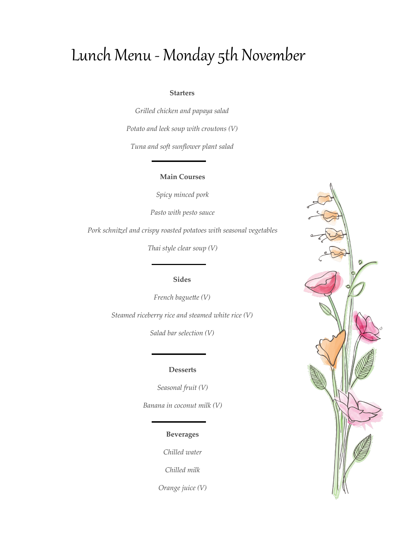# Lunch Menu - Monday 5th November

#### **Starters**

*Grilled chicken and papaya salad*

*Potato and leek soup with croutons (V)*

*Tuna and soft sunflower plant salad*

## **Main Courses**

*Spicy minced pork* 

*Pasto with pesto sauce*

*Pork schnitzel and crispy roasted potatoes with seasonal vegetables*

*Thai style clear soup (V)*

## **Sides**

*French baguette (V) Steamed riceberry rice and steamed white rice (V)*

*Salad bar selection (V)*

### **Desserts**

*Seasonal fruit (V)*

*Banana in coconut milk (V)*

## **Beverages**

*Chilled water*

*Chilled milk*

*Orange juice (V)*

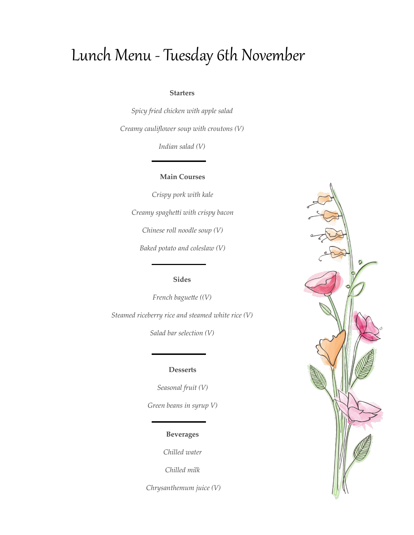# Lunch Menu - Tuesday 6th November

### **Starters**

*Spicy fried chicken with apple salad Creamy cauliflower soup with croutons (V)*

*Indian salad (V)*

### **Main Courses**

*Crispy pork with kale Creamy spaghetti with crispy bacon Chinese roll noodle soup (V) Baked potato and coleslaw (V)*

## **Sides**

*French baguette ((V) Steamed riceberry rice and steamed white rice (V)*

*Salad bar selection (V)*

### **Desserts**

*Seasonal fruit (V) Green beans in syrup V)* 

## **Beverages**

*Chilled water*

*Chilled milk*

*Chrysanthemum juice (V)*

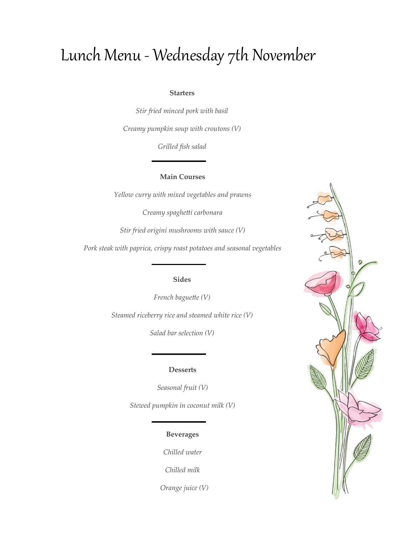# Lunch Menu - Wednesday 7th November

### **Starters**

*Stir fried minced pork with basil Creamy pumpkin soup with croutons (V)*

*Grilled fish salad*

## **Main Courses**

*Yellow curry with mixed vegetables and prawns*

*Creamy spaghetti carbonara*

*Stir fried origini mushrooms with sauce (V)*

*Pork steak with paprica, crispy roast potatoes and seasonal vegetables*

## **Sides**

*French baguette (V) Steamed riceberry rice and steamed white rice (V)*

*Salad bar selection (V)*

### **Desserts**

*Seasonal fruit (V)*

*Stewed pumpkin in coconut milk (V)*

## **Beverages**

*Chilled water*

*Chilled milk*

 *Orange juice (V)*

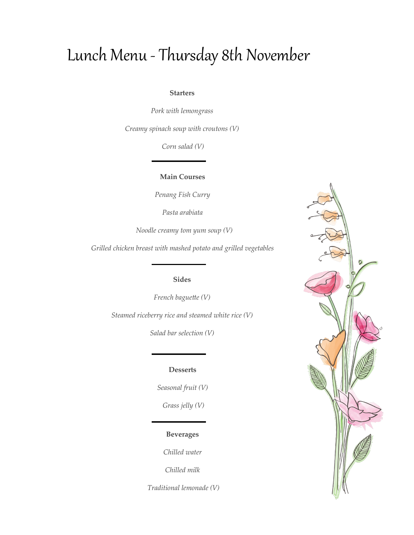# Lunch Menu - Thursday 8th November

### **Starters**

*Pork with lemongrass*

*Creamy spinach soup with croutons (V)*

*Corn salad (V)*

**Main Courses**

*Penang Fish Curry*

*Pasta arabiata*

 *Noodle creamy tom yum soup (V)*

*Grilled chicken breast with mashed potato and grilled vegetables*

**Sides**

*French baguette (V)*

*Steamed riceberry rice and steamed white rice (V)*

*Salad bar selection (V)*

#### **Desserts**

*Seasonal fruit (V) Grass jelly (V)*

## **Beverages**

*Chilled water*

*Chilled milk*

*Traditional lemonade (V)*

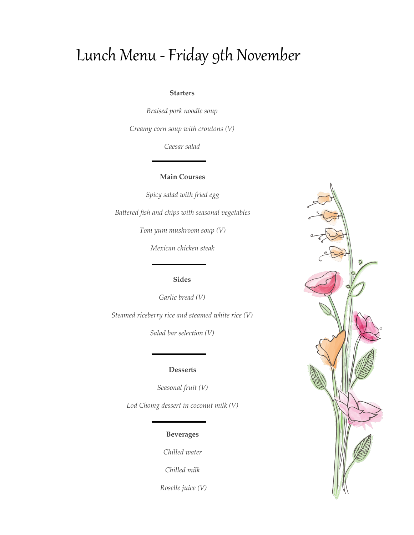# Lunch Menu -Friday 9th November

#### **Starters**

*Braised pork noodle soup*

*Creamy corn soup with croutons (V)*

*Caesar salad*

## **Main Courses**

*Spicy salad with fried egg Battered fish and chips with seasonal vegetables Tom yum mushroom soup (V)*

*Mexican chicken steak*

## **Sides**

*Garlic bread (V)*

*Steamed riceberry rice and steamed white rice (V)*

*Salad bar selection (V)*

### **Desserts**

*Seasonal fruit (V)*

*Lod Chomg dessert in coconut milk (V)*

## **Beverages**

*Chilled water*

*Chilled milk*

*Roselle juice (V)*

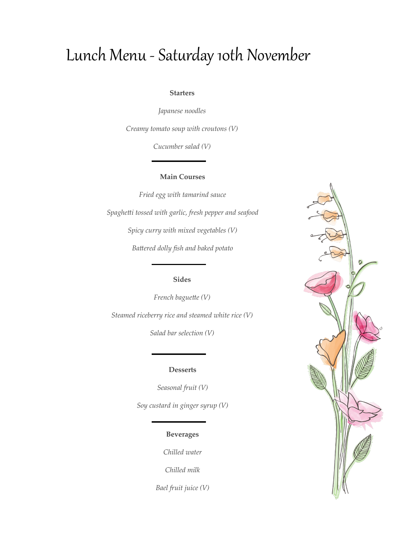# Lunch Menu - Saturday 10th November

### **Starters**

*Japanese noodles*

*Creamy tomato soup with croutons (V)*

*Cucumber salad (V)*

## **Main Courses**

*Fried egg with tamarind sauce Spaghetti tossed with garlic, fresh pepper and seafood Spicy curry with mixed vegetables (V) Battered dolly fish and baked potato*

## **Sides**

*French baguette (V) Steamed riceberry rice and steamed white rice (V)*

*Salad bar selection (V)*

### **Desserts**

*Seasonal fruit (V)*

*Soy custard in ginger syrup (V)*

## **Beverages**

*Chilled water*

*Chilled milk*

*Bael fruit juice (V)*